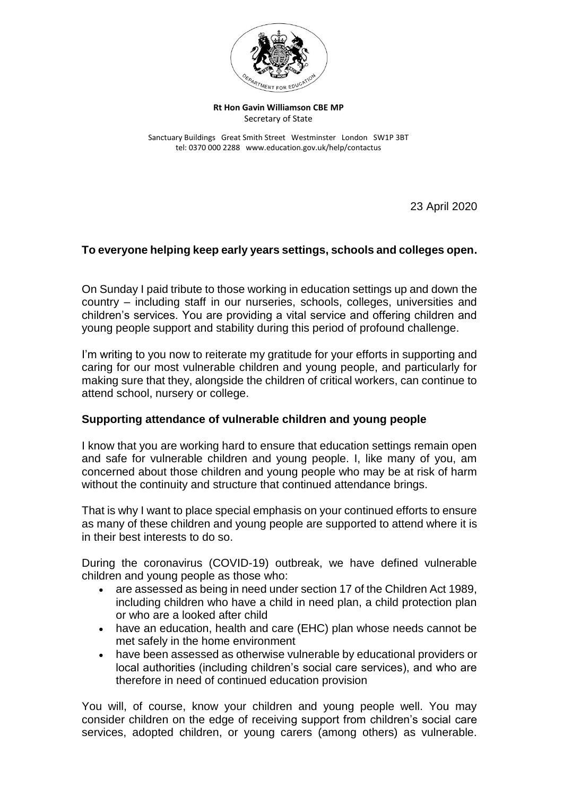

**Rt Hon Gavin Williamson CBE MP** Secretary of State

Sanctuary Buildings Great Smith Street Westminster London SW1P 3BT tel: 0370 000 2288 www.education.gov.uk/help/contactus

23 April 2020

## **To everyone helping keep early years settings, schools and colleges open.**

On Sunday I paid tribute to those working in education settings up and down the country – including staff in our nurseries, schools, colleges, universities and children's services. You are providing a vital service and offering children and young people support and stability during this period of profound challenge.

I'm writing to you now to reiterate my gratitude for your efforts in supporting and caring for our most vulnerable children and young people, and particularly for making sure that they, alongside the children of critical workers, can continue to attend school, nursery or college.

## **Supporting attendance of vulnerable children and young people**

I know that you are working hard to ensure that education settings remain open and safe for vulnerable children and young people. I, like many of you, am concerned about those children and young people who may be at risk of harm without the continuity and structure that continued attendance brings.

That is why I want to place special emphasis on your continued efforts to ensure as many of these children and young people are supported to attend where it is in their best interests to do so.

During the coronavirus (COVID-19) outbreak, we have defined vulnerable children and young people as those who:

- are assessed as being in need under section 17 of the Children Act 1989, including children who have a child in need plan, a child protection plan or who are a looked after child
- have an education, health and care (EHC) plan whose needs cannot be met safely in the home environment
- have been assessed as otherwise vulnerable by educational providers or local authorities (including children's social care services), and who are therefore in need of continued education provision

You will, of course, know your children and young people well. You may consider children on the edge of receiving support from children's social care services, adopted children, or young carers (among others) as vulnerable.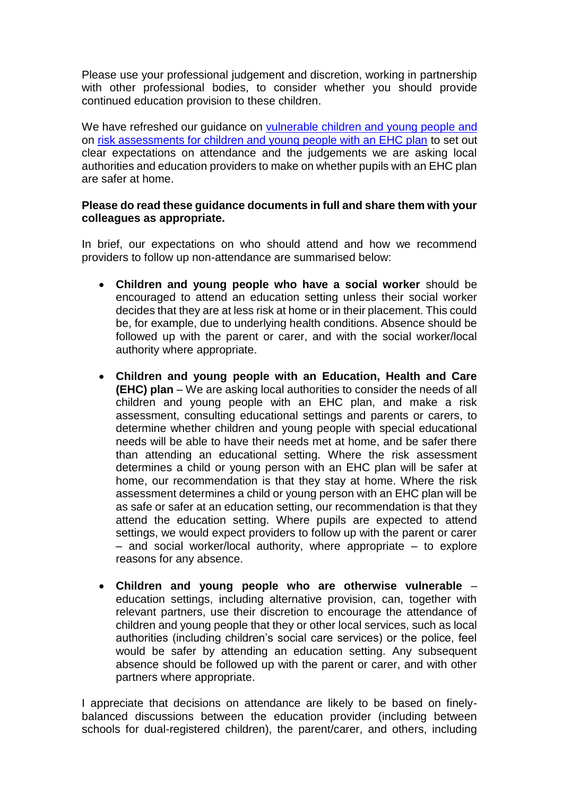Please use your professional judgement and discretion, working in partnership with other professional bodies, to consider whether you should provide continued education provision to these children.

We have refreshed our guidance on [vulnerable children and young people](https://www.gov.uk/government/publications/coronavirus-covid-19-guidance-on-vulnerable-children-and-young-people/coronavirus-covid-19-guidance-on-vulnerable-children-and-young-people) and on [risk assessments for children and young people with an EHC plan](https://www.gov.uk/government/publications/coronavirus-covid-19-guidance-on-vulnerable-children-and-young-people/coronavirus-covid-19-guidance-on-vulnerable-children-and-young-people) to set out clear expectations on attendance and the judgements we are asking local authorities and education providers to make on whether pupils with an EHC plan are safer at home.

## **Please do read these guidance documents in full and share them with your colleagues as appropriate.**

In brief, our expectations on who should attend and how we recommend providers to follow up non-attendance are summarised below:

- **Children and young people who have a social worker** should be encouraged to attend an education setting unless their social worker decides that they are at less risk at home or in their placement. This could be, for example, due to underlying health conditions. Absence should be followed up with the parent or carer, and with the social worker/local authority where appropriate.
- **Children and young people with an Education, Health and Care (EHC) plan** – We are asking local authorities to consider the needs of all children and young people with an EHC plan, and make a risk assessment, consulting educational settings and parents or carers, to determine whether children and young people with special educational needs will be able to have their needs met at home, and be safer there than attending an educational setting. Where the risk assessment determines a child or young person with an EHC plan will be safer at home, our recommendation is that they stay at home. Where the risk assessment determines a child or young person with an EHC plan will be as safe or safer at an education setting, our recommendation is that they attend the education setting. Where pupils are expected to attend settings, we would expect providers to follow up with the parent or carer – and social worker/local authority, where appropriate – to explore reasons for any absence.
- **Children and young people who are otherwise vulnerable**  education settings, including alternative provision, can, together with relevant partners, use their discretion to encourage the attendance of children and young people that they or other local services, such as local authorities (including children's social care services) or the police, feel would be safer by attending an education setting. Any subsequent absence should be followed up with the parent or carer, and with other partners where appropriate.

I appreciate that decisions on attendance are likely to be based on finelybalanced discussions between the education provider (including between schools for dual-registered children), the parent/carer, and others, including